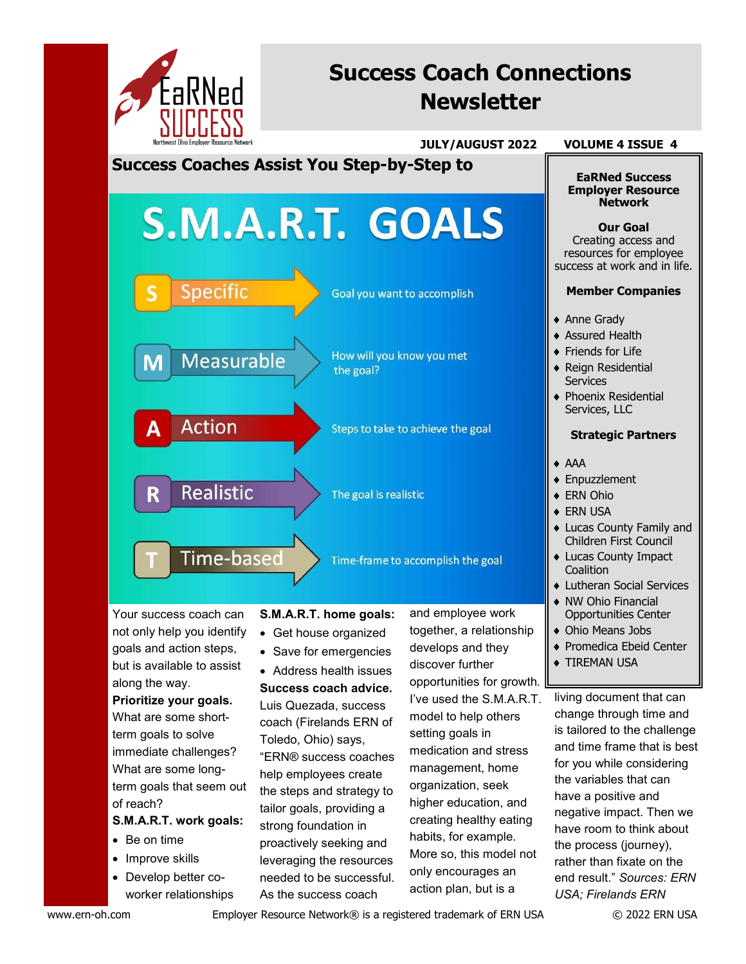

# **Success Coach Connections Newsletter**

 **JULY/AUGUST 2022 VOLUME 4 ISSUE 4**

**EaRNed Success Employer Resource** 

**Success Coaches Assist You Step-by-Step to** 

# S.M.A.R.T. GOALS **Specific** Goal you want to accomplish How will you know you met **Measurable** the goal?

Steps to take to achieve the goal

The goal is realistic

Time-frame to accomplish the goal

Your success coach can not only help you identify goals and action steps, but is available to assist along the way.

R

**Action** 

**Realistic** 

**Time-based** 

**Prioritize your goals.**  What are some shortterm goals to solve immediate challenges? What are some longterm goals that seem out of reach?

## **S.M.A.R.T. work goals:**

- Be on time
- Improve skills
- Develop better coworker relationships

**S.M.A.R.T. home goals:** 

- Get house organized
- Save for emergencies

• Address health issues **Success coach advice.** Luis Quezada, success coach (Firelands ERN of Toledo, Ohio) says, "ERN® success coaches help employees create the steps and strategy to tailor goals, providing a strong foundation in proactively seeking and leveraging the resources needed to be successful. As the success coach

and employee work together, a relationship develops and they discover further opportunities for growth. I've used the S.M.A.R.T. model to help others setting goals in medication and stress management, home organization, seek higher education, and creating healthy eating habits, for example. More so, this model not only encourages an action plan, but is a

**Network Our Goal** Creating access and resources for employee success at work and in life.

#### **Member Companies**

- ◆ Anne Grady
- **Assured Health**
- ◆ Friends for Life
- ◆ Reign Residential **Services**
- ◆ Phoenix Residential Services, LLC

#### **Strategic Partners**

- AAA
- ◆ Enpuzzlement
- ◆ ERN Ohio
- ◆ ERN USA
- Lucas County Family and Children First Council
- Lucas County Impact **Coalition**
- **Lutheran Social Services**
- NW Ohio Financial Opportunities Center
- Ohio Means Jobs
- ◆ Promedica Ebeid Center
- **TIREMAN USA**

living document that can change through time and is tailored to the challenge and time frame that is best for you while considering the variables that can have a positive and negative impact. Then we have room to think about the process (journey), rather than fixate on the end result." *Sources: ERN USA; Firelands ERN*

www.ern-oh.com Employer Resource Network® is a registered trademark of ERN USA © 2022 ERN USA